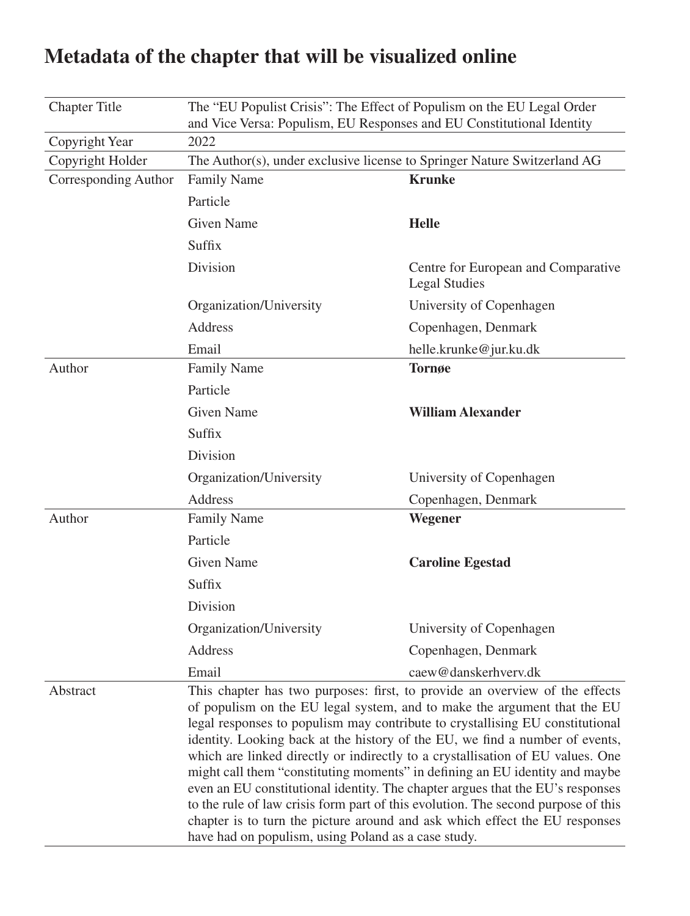| <b>Chapter Title</b> | The "EU Populist Crisis": The Effect of Populism on the EU Legal Order<br>and Vice Versa: Populism, EU Responses and EU Constitutional Identity                                                                                                                                                                                                                                                                                                                                                                                                                                                                                                                                                                                                                                                        |                                                             |  |
|----------------------|--------------------------------------------------------------------------------------------------------------------------------------------------------------------------------------------------------------------------------------------------------------------------------------------------------------------------------------------------------------------------------------------------------------------------------------------------------------------------------------------------------------------------------------------------------------------------------------------------------------------------------------------------------------------------------------------------------------------------------------------------------------------------------------------------------|-------------------------------------------------------------|--|
| Copyright Year       | 2022                                                                                                                                                                                                                                                                                                                                                                                                                                                                                                                                                                                                                                                                                                                                                                                                   |                                                             |  |
| Copyright Holder     | The Author(s), under exclusive license to Springer Nature Switzerland AG                                                                                                                                                                                                                                                                                                                                                                                                                                                                                                                                                                                                                                                                                                                               |                                                             |  |
| Corresponding Author | <b>Family Name</b>                                                                                                                                                                                                                                                                                                                                                                                                                                                                                                                                                                                                                                                                                                                                                                                     | <b>Krunke</b>                                               |  |
|                      | Particle                                                                                                                                                                                                                                                                                                                                                                                                                                                                                                                                                                                                                                                                                                                                                                                               |                                                             |  |
|                      | <b>Given Name</b>                                                                                                                                                                                                                                                                                                                                                                                                                                                                                                                                                                                                                                                                                                                                                                                      | <b>Helle</b>                                                |  |
|                      | Suffix                                                                                                                                                                                                                                                                                                                                                                                                                                                                                                                                                                                                                                                                                                                                                                                                 |                                                             |  |
|                      | Division                                                                                                                                                                                                                                                                                                                                                                                                                                                                                                                                                                                                                                                                                                                                                                                               | Centre for European and Comparative<br><b>Legal Studies</b> |  |
|                      | Organization/University                                                                                                                                                                                                                                                                                                                                                                                                                                                                                                                                                                                                                                                                                                                                                                                | University of Copenhagen                                    |  |
|                      | Address                                                                                                                                                                                                                                                                                                                                                                                                                                                                                                                                                                                                                                                                                                                                                                                                | Copenhagen, Denmark                                         |  |
|                      | Email                                                                                                                                                                                                                                                                                                                                                                                                                                                                                                                                                                                                                                                                                                                                                                                                  | helle.krunke@jur.ku.dk                                      |  |
| Author               | <b>Family Name</b>                                                                                                                                                                                                                                                                                                                                                                                                                                                                                                                                                                                                                                                                                                                                                                                     | <b>Tornøe</b>                                               |  |
|                      | Particle                                                                                                                                                                                                                                                                                                                                                                                                                                                                                                                                                                                                                                                                                                                                                                                               |                                                             |  |
|                      | <b>Given Name</b>                                                                                                                                                                                                                                                                                                                                                                                                                                                                                                                                                                                                                                                                                                                                                                                      | <b>William Alexander</b>                                    |  |
|                      | Suffix                                                                                                                                                                                                                                                                                                                                                                                                                                                                                                                                                                                                                                                                                                                                                                                                 |                                                             |  |
|                      | Division                                                                                                                                                                                                                                                                                                                                                                                                                                                                                                                                                                                                                                                                                                                                                                                               |                                                             |  |
|                      | Organization/University                                                                                                                                                                                                                                                                                                                                                                                                                                                                                                                                                                                                                                                                                                                                                                                | University of Copenhagen                                    |  |
|                      | Address                                                                                                                                                                                                                                                                                                                                                                                                                                                                                                                                                                                                                                                                                                                                                                                                | Copenhagen, Denmark                                         |  |
| Author               | <b>Family Name</b>                                                                                                                                                                                                                                                                                                                                                                                                                                                                                                                                                                                                                                                                                                                                                                                     | Wegener                                                     |  |
|                      | Particle                                                                                                                                                                                                                                                                                                                                                                                                                                                                                                                                                                                                                                                                                                                                                                                               |                                                             |  |
|                      | <b>Given Name</b>                                                                                                                                                                                                                                                                                                                                                                                                                                                                                                                                                                                                                                                                                                                                                                                      | <b>Caroline Egestad</b>                                     |  |
|                      | Suffix                                                                                                                                                                                                                                                                                                                                                                                                                                                                                                                                                                                                                                                                                                                                                                                                 |                                                             |  |
|                      | Division                                                                                                                                                                                                                                                                                                                                                                                                                                                                                                                                                                                                                                                                                                                                                                                               |                                                             |  |
|                      | Organization/University                                                                                                                                                                                                                                                                                                                                                                                                                                                                                                                                                                                                                                                                                                                                                                                | University of Copenhagen                                    |  |
|                      | Address                                                                                                                                                                                                                                                                                                                                                                                                                                                                                                                                                                                                                                                                                                                                                                                                | Copenhagen, Denmark                                         |  |
|                      | Email                                                                                                                                                                                                                                                                                                                                                                                                                                                                                                                                                                                                                                                                                                                                                                                                  | caew@danskerhverv.dk                                        |  |
| Abstract             | This chapter has two purposes: first, to provide an overview of the effects<br>of populism on the EU legal system, and to make the argument that the EU<br>legal responses to populism may contribute to crystallising EU constitutional<br>identity. Looking back at the history of the EU, we find a number of events,<br>which are linked directly or indirectly to a crystallisation of EU values. One<br>might call them "constituting moments" in defining an EU identity and maybe<br>even an EU constitutional identity. The chapter argues that the EU's responses<br>to the rule of law crisis form part of this evolution. The second purpose of this<br>chapter is to turn the picture around and ask which effect the EU responses<br>have had on populism, using Poland as a case study. |                                                             |  |

# **Metadata of the chapter that will be visualized online**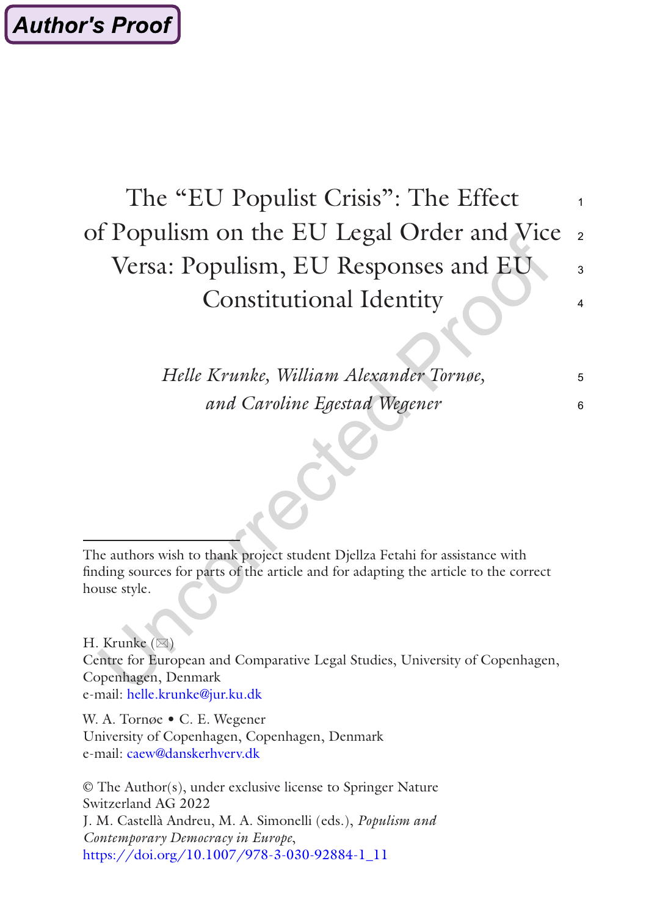#### The "EU Populist Crisis": The Effect of Populism on the EU Legal Order and Vice Versa: Populism, EU Responses and EU Constitutional Identity 1  $\overline{2}$  $\mathbf{a}$ 4

*Helle Krunke, William Alexander Tornøe, and Caroline Egestad Wegener*

5 6

The authors wish to thank project student Djellza Fetahi for assistance with finding sources for parts of the article and for adapting the article to the correct house style.

H. Krunke  $(\boxtimes)$ Centre for European and Comparative Legal Studies, University of Copenhagen, Copenhagen, Denmark e-mail: [helle.krunke@jur.ku.dk](mailto:helle.krunke@jur.ku.dk)

W. A. Tornøe • C. E. Wegener University of Copenhagen, Copenhagen, Denmark e-mail: [caew@danskerhverv.dk](mailto:caew@danskerhverv.dk)

© The Author(s), under exclusive license to Springer Nature Switzerland AG 2022 J. M. Castellà Andreu, M. A. Simonelli (eds.), *Populism and Contemporary Democracy in Europe*, [https://doi.org/10.1007/978-3-030-92884-1\\_11](https://doi.org/10.1007/978-3-030-92884-1_11#DOI)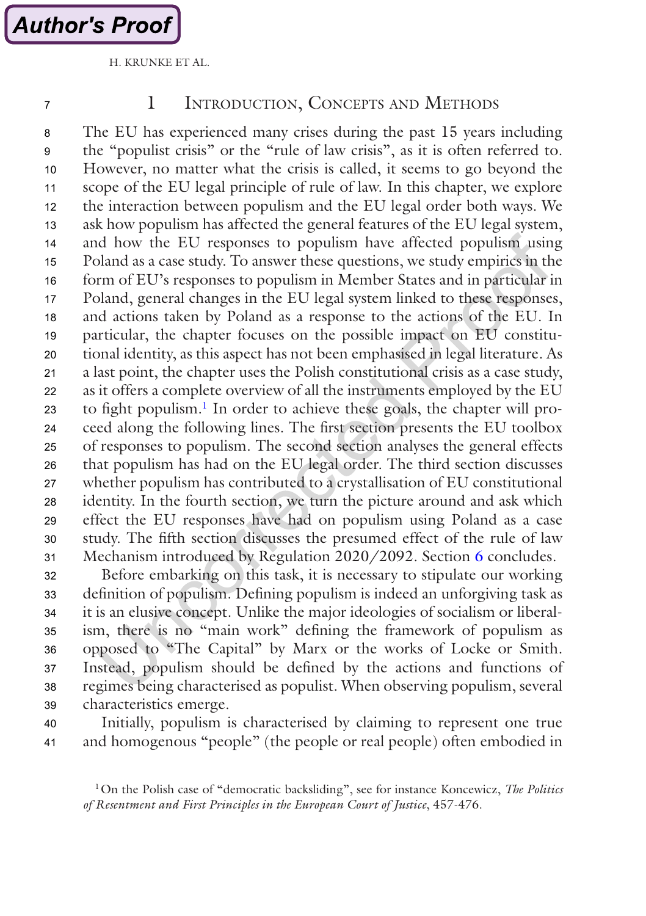<span id="page-2-0"></span>7

#### 1 Introduction, Concepts and Methods

The EU has experienced many crises during the past 15 years including the "populist crisis" or the "rule of law crisis", as it is often referred to. However, no matter what the crisis is called, it seems to go beyond the scope of the EU legal principle of rule of law. In this chapter, we explore the interaction between populism and the EU legal order both ways. We ask how populism has affected the general features of the EU legal system, and how the EU responses to populism have affected populism using Poland as a case study. To answer these questions, we study empirics in the form of EU's responses to populism in Member States and in particular in Poland, general changes in the EU legal system linked to these responses, and actions taken by Poland as a response to the actions of the EU. In particular, the chapter focuses on the possible impact on EU constitutional identity, as this aspect has not been emphasised in legal literature. As a last point, the chapter uses the Polish constitutional crisis as a case study, as it offers a complete overview of all the instruments employed by the EU to fight populism.<sup>1</sup> In order to achieve these goals, the chapter will proceed along the following lines. The first section presents the EU toolbox of responses to populism. The second section analyses the general effects that populism has had on the EU legal order. The third section discusses whether populism has contributed to a crystallisation of EU constitutional identity. In the fourth section, we turn the picture around and ask which effect the EU responses have had on populism using Poland as a case study. The fifth section discusses the presumed effect of the rule of law Mechanism introduced by Regulation 2020/2092. Section [6](#page-20-0) concludes. 8 9 10 11 12 13 14 15 16 17 18 19  $20$ 21 22 23 24 25 26 27 28 29 30 31

Before embarking on this task, it is necessary to stipulate our working definition of populism. Defining populism is indeed an unforgiving task as it is an elusive concept. Unlike the major ideologies of socialism or liberalism, there is no "main work" defining the framework of populism as opposed to "The Capital" by Marx or the works of Locke or Smith. Instead, populism should be defined by the actions and functions of regimes being characterised as populist. When observing populism, several characteristics emerge. 32 33 34 35 36 37 38 39

40

Initially, populism is characterised by claiming to represent one true and homogenous "people" (the people or real people) often embodied in 41

1On the Polish case of "democratic backsliding", see for instance Koncewicz, *The Politics of Resentment and First Principles in the European Court of Justice*, 457-476.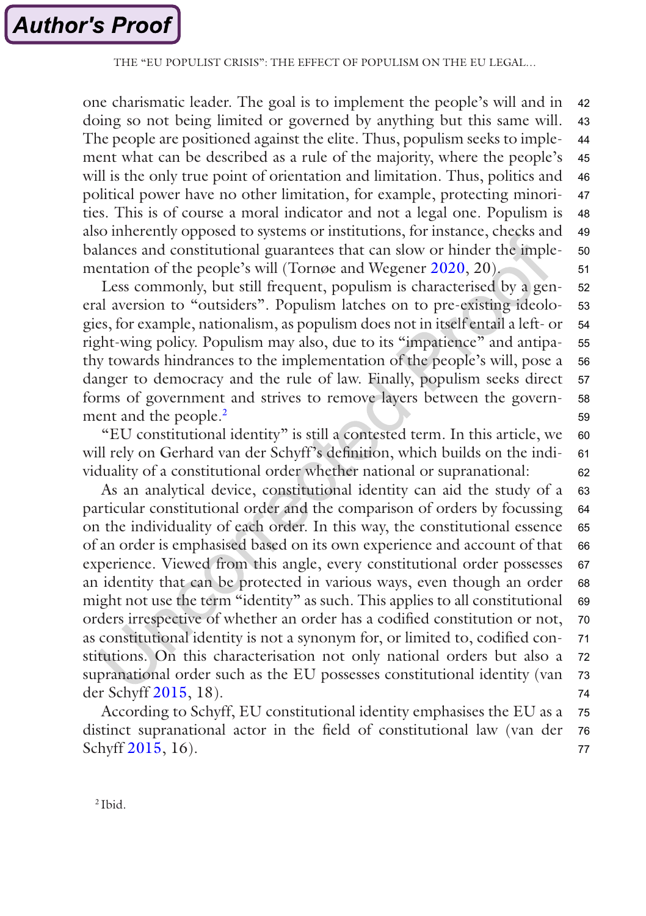one charismatic leader. The goal is to implement the people's will and in doing so not being limited or governed by anything but this same will. The people are positioned against the elite. Thus, populism seeks to implement what can be described as a rule of the majority, where the people's will is the only true point of orientation and limitation. Thus, politics and political power have no other limitation, for example, protecting minorities. This is of course a moral indicator and not a legal one. Populism is also inherently opposed to systems or institutions, for instance, checks and balances and constitutional guarantees that can slow or hinder the implementation of the people's will (Tornøe and Wegener [2020](#page-22-0), 20). 42 43 44 45 46 47 48 49 50 51

Less commonly, but still frequent, populism is characterised by a general aversion to "outsiders". Populism latches on to pre-existing ideologies, for example, nationalism, as populism does not in itself entail a left- or right-wing policy. Populism may also, due to its "impatience" and antipathy towards hindrances to the implementation of the people's will, pose a danger to democracy and the rule of law. Finally, populism seeks direct forms of government and strives to remove layers between the government and the people.<sup>2</sup> 52 53 54 55 56 57 58 59

"EU constitutional identity" is still a contested term. In this article, we will rely on Gerhard van der Schyff's definition, which builds on the individuality of a constitutional order whether national or supranational: 60 61 62

As an analytical device, constitutional identity can aid the study of a particular constitutional order and the comparison of orders by focussing on the individuality of each order. In this way, the constitutional essence of an order is emphasised based on its own experience and account of that experience. Viewed from this angle, every constitutional order possesses an identity that can be protected in various ways, even though an order might not use the term "identity" as such. This applies to all constitutional orders irrespective of whether an order has a codified constitution or not, as constitutional identity is not a synonym for, or limited to, codified constitutions. On this characterisation not only national orders but also a supranational order such as the EU possesses constitutional identity (van der Schyff [2015,](#page-22-0) 18). 63 64 65 66 67 68 69 70 71 72 73 74

According to Schyff, EU constitutional identity emphasises the EU as a distinct supranational actor in the field of constitutional law (van der Schyff [2015](#page-22-0), 16). 75 76 77

<sup>2</sup> Ibid.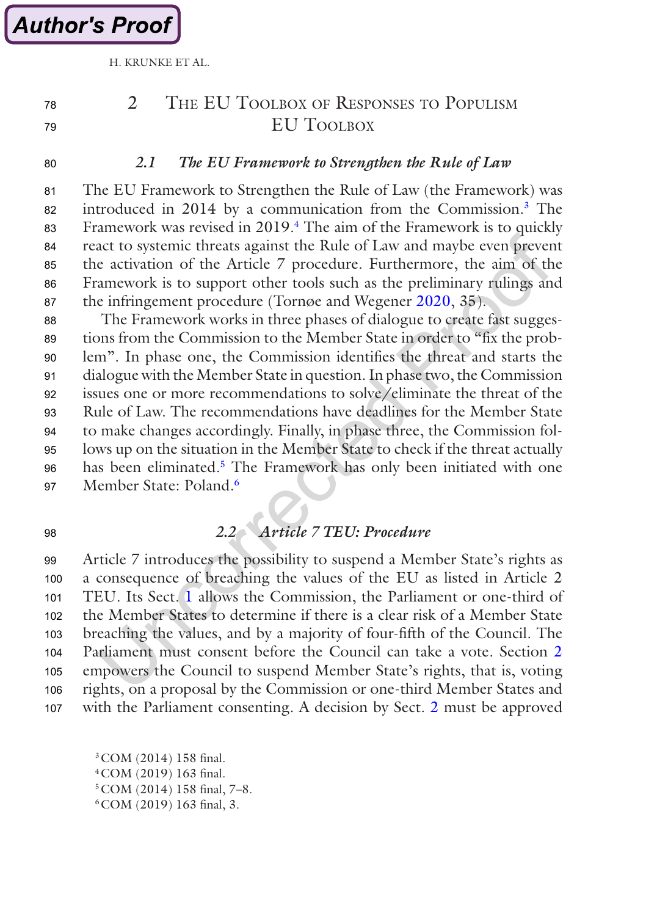**Author's Proof** 

## 2 THE EU TOOLBOX OF RESPONSES TO POPULISM EU TOOLBOX

 $80$ 

78 79

#### *2.1 The EU Framework to Strengthen the Rule of Law*

The EU Framework to Strengthen the Rule of Law (the Framework) was introduced in 2014 by a communication from the Commission.3 The Framework was revised in 2019.<sup>4</sup> The aim of the Framework is to quickly react to systemic threats against the Rule of Law and maybe even prevent the activation of the Article 7 procedure. Furthermore, the aim of the Framework is to support other tools such as the preliminary rulings and the infringement procedure (Tornøe and Wegener [2020,](#page-22-0) 35). 81 82 83 84 85 86 87

The Framework works in three phases of dialogue to create fast suggestions from the Commission to the Member State in order to "fix the problem". In phase one, the Commission identifies the threat and starts the dialogue with the Member State in question. In phase two, the Commission issues one or more recommendations to solve/eliminate the threat of the Rule of Law. The recommendations have deadlines for the Member State to make changes accordingly. Finally, in phase three, the Commission follows up on the situation in the Member State to check if the threat actually has been eliminated.<sup>5</sup> The Framework has only been initiated with one Member State: Poland<sup>6</sup> 88 89  $90$ **91** 92 93 94 95 96 **97** 

98

### *2.2 Article 7 TEU: Procedure*

Article 7 introduces the possibility to suspend a Member State's rights as a consequence of breaching the values of the EU as listed in Article 2 TEU. Its Sect. [1](#page-2-0) allows the Commission, the Parliament or one-third of the Member States to determine if there is a clear risk of a Member State breaching the values, and by a majority of four-fifth of the Council. The Parliament must consent before the Council can take a vote. Section 2 empowers the Council to suspend Member State's rights, that is, voting rights, on a proposal by the Commission or one-third Member States and with the Parliament consenting. A decision by Sect. 2 must be approved **99**  $100$  $101$ 102 103 104 105 106 107

3COM (2014) 158 final. 4COM (2019) 163 final. 5COM (2014) 158 final, 7–8. 6COM (2019) 163 final, 3.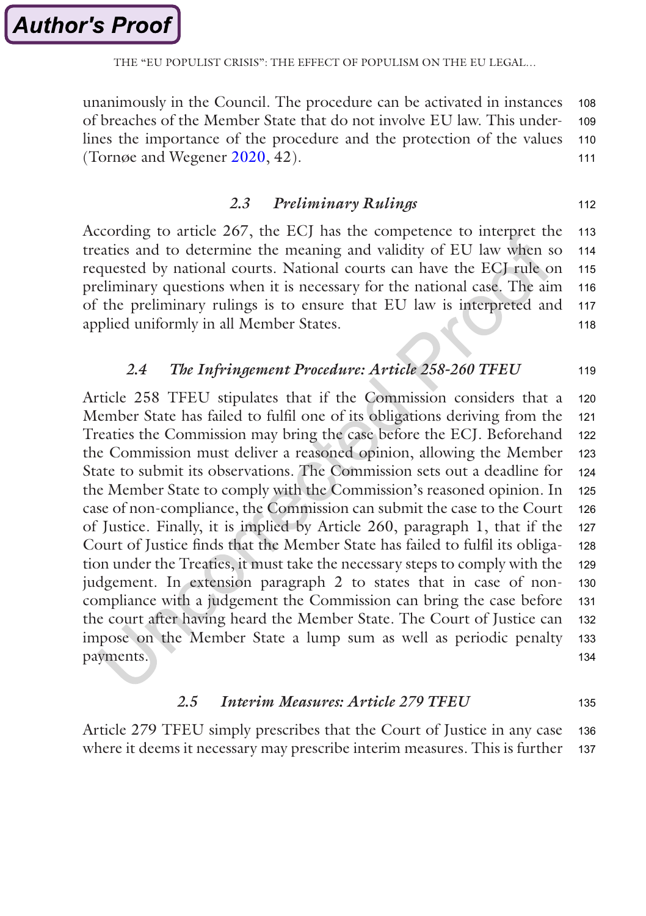THE "EU POPULIST CRISIS": THE EFFECT OF POPULISM ON THE EULEGAL.

unanimously in the Council. The procedure can be activated in instances of breaches of the Member State that do not involve EU law. This underlines the importance of the procedure and the protection of the values (Tornøe and Wegener [2020,](#page-22-0) 42). 108 109 110 111

#### *2.3 Preliminary Rulings*

112

According to article 267, the ECJ has the competence to interpret the treaties and to determine the meaning and validity of EU law when so requested by national courts. National courts can have the ECJ rule on preliminary questions when it is necessary for the national case. The aim of the preliminary rulings is to ensure that EU law is interpreted and applied uniformly in all Member States. 113 114 115 116 117 118

#### *2.4 The Infringement Procedure: Article 258-260 TFEU* 119

Article 258 TFEU stipulates that if the Commission considers that a Member State has failed to fulfil one of its obligations deriving from the Treaties the Commission may bring the case before the ECJ. Beforehand the Commission must deliver a reasoned opinion, allowing the Member State to submit its observations. The Commission sets out a deadline for the Member State to comply with the Commission's reasoned opinion. In case of non-compliance, the Commission can submit the case to the Court of Justice. Finally, it is implied by Article 260, paragraph 1, that if the Court of Justice finds that the Member State has failed to fulfil its obligation under the Treaties, it must take the necessary steps to comply with the judgement. In extension paragraph 2 to states that in case of noncompliance with a judgement the Commission can bring the case before the court after having heard the Member State. The Court of Justice can impose on the Member State a lump sum as well as periodic penalty payments. 120 121 122 123 124 125 126 127 128 129 130 131 132 133 134

#### *2.5 Interim Measures: Article 279 TFEU* 135

Article 279 TFEU simply prescribes that the Court of Justice in any case where it deems it necessary may prescribe interim measures. This is further 136 137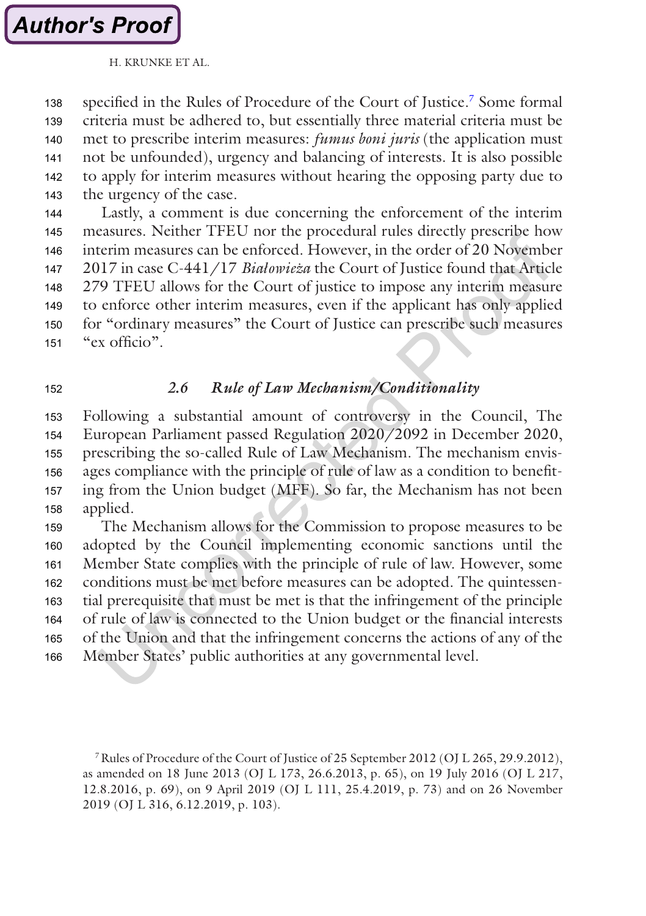specified in the Rules of Procedure of the Court of Justice.7 Some formal criteria must be adhered to, but essentially three material criteria must be met to prescribe interim measures: *fumus boni juris* (the application must not be unfounded), urgency and balancing of interests. It is also possible to apply for interim measures without hearing the opposing party due to the urgency of the case. 138 139 140 141 142 143

Lastly, a comment is due concerning the enforcement of the interim measures. Neither TFEU nor the procedural rules directly prescribe how interim measures can be enforced. However, in the order of 20 November 2017 in case C-441/17 *Białowieza*̇ the Court of Justice found that Article 279 TFEU allows for the Court of justice to impose any interim measure to enforce other interim measures, even if the applicant has only applied for "ordinary measures" the Court of Justice can prescribe such measures "ex officio". 144 145 146 147 148 149 150 151

152

#### *2.6 Rule of Law Mechanism/Conditionality*

Following a substantial amount of controversy in the Council, The European Parliament passed Regulation 2020/2092 in December 2020, prescribing the so-called Rule of Law Mechanism. The mechanism envisages compliance with the principle of rule of law as a condition to benefiting from the Union budget (MFF). So far, the Mechanism has not been applied. 153 154 155 156 157 158

The Mechanism allows for the Commission to propose measures to be adopted by the Council implementing economic sanctions until the Member State complies with the principle of rule of law. However, some conditions must be met before measures can be adopted. The quintessential prerequisite that must be met is that the infringement of the principle of rule of law is connected to the Union budget or the financial interests of the Union and that the infringement concerns the actions of any of the Member States' public authorities at any governmental level. 159 160 161 162 163 164 165 166

<sup>7</sup>Rules of Procedure of the Court of Justice of 25 September 2012 (OJ L 265, 29.9.2012), as amended on 18 June 2013 (OJ L 173, 26.6.2013, p. 65), on 19 July 2016 (OJ L 217, 12.8.2016, p. 69), on 9 April 2019 (OJ L 111, 25.4.2019, p. 73) and on 26 November 2019 (OJ L 316, 6.12.2019, p. 103).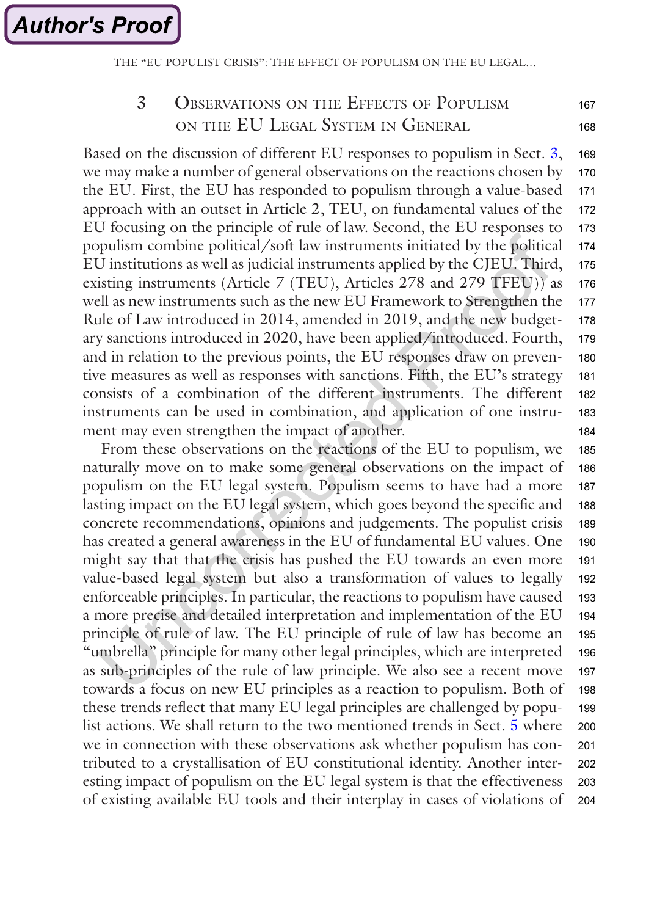THE "EU POPULIST CRISIS": THE EFFECT OF POPULISM ON THE EULEGAL.

#### 3 Observations on the Effects of Populism on the EU Legal System in General 167 168

Based on the discussion of different EU responses to populism in Sect. 3, we may make a number of general observations on the reactions chosen by the EU. First, the EU has responded to populism through a value-based approach with an outset in Article 2, TEU, on fundamental values of the EU focusing on the principle of rule of law. Second, the EU responses to populism combine political/soft law instruments initiated by the political EU institutions as well as judicial instruments applied by the CJEU. Third, existing instruments (Article 7 (TEU), Articles 278 and 279 TFEU)) as well as new instruments such as the new EU Framework to Strengthen the Rule of Law introduced in 2014, amended in 2019, and the new budgetary sanctions introduced in 2020, have been applied/introduced. Fourth, and in relation to the previous points, the EU responses draw on preventive measures as well as responses with sanctions. Fifth, the EU's strategy consists of a combination of the different instruments. The different instruments can be used in combination, and application of one instrument may even strengthen the impact of another. 169 170 171 172 173 174 175 176 177 178 179 180 181 182 183 184

From these observations on the reactions of the EU to populism, we naturally move on to make some general observations on the impact of populism on the EU legal system. Populism seems to have had a more lasting impact on the EU legal system, which goes beyond the specific and concrete recommendations, opinions and judgements. The populist crisis has created a general awareness in the EU of fundamental EU values. One might say that that the crisis has pushed the EU towards an even more value-based legal system but also a transformation of values to legally enforceable principles. In particular, the reactions to populism have caused a more precise and detailed interpretation and implementation of the EU principle of rule of law. The EU principle of rule of law has become an "umbrella" principle for many other legal principles, which are interpreted as sub-principles of the rule of law principle. We also see a recent move towards a focus on new EU principles as a reaction to populism. Both of these trends reflect that many EU legal principles are challenged by populist actions. We shall return to the two mentioned trends in Sect. [5](#page-11-0) where we in connection with these observations ask whether populism has contributed to a crystallisation of EU constitutional identity. Another interesting impact of populism on the EU legal system is that the effectiveness of existing available EU tools and their interplay in cases of violations of 185 186 187 188 189 190 191 192 193 194 195 196 197 198 199 200 201 202 203 204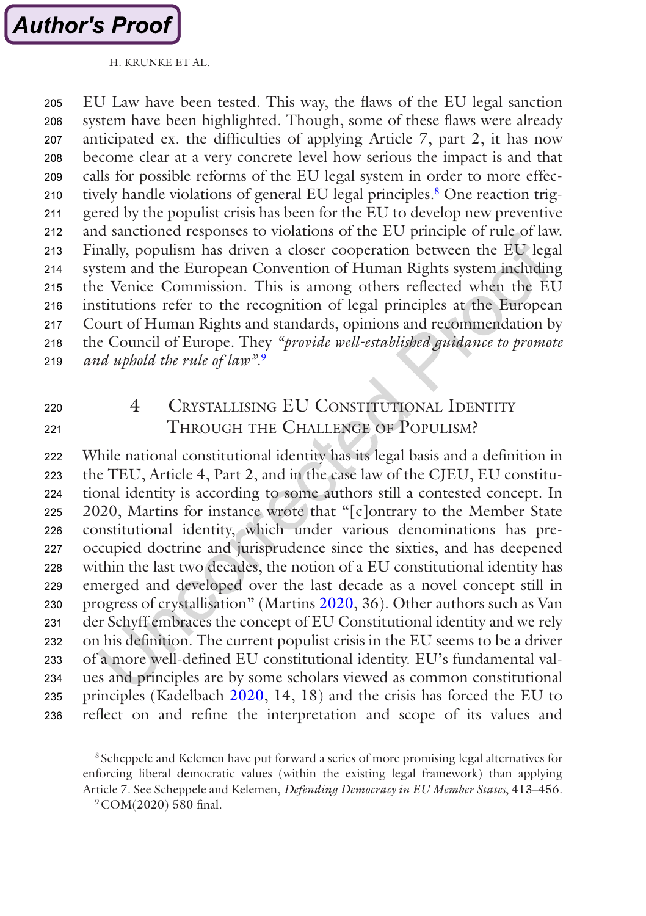

EU Law have been tested. This way, the flaws of the EU legal sanction system have been highlighted. Though, some of these flaws were already anticipated ex. the difficulties of applying Article 7, part 2, it has now become clear at a very concrete level how serious the impact is and that calls for possible reforms of the EU legal system in order to more effectively handle violations of general EU legal principles.<sup>8</sup> One reaction triggered by the populist crisis has been for the EU to develop new preventive and sanctioned responses to violations of the EU principle of rule of law. Finally, populism has driven a closer cooperation between the EU legal system and the European Convention of Human Rights system including the Venice Commission. This is among others reflected when the EU institutions refer to the recognition of legal principles at the European Court of Human Rights and standards, opinions and recommendation by the Council of Europe. They *"provide well-established guidance to promote and uphold the rule of law"*. 9 205 206 207 208 209 210 211 212 213 214 215 216 217 218 219

- 220
- 221

### 4 CRYSTALLISING EU CONSTITUTIONAL IDENTITY Through the Challenge of Populism?

While national constitutional identity has its legal basis and a definition in the TEU, Article 4, Part 2, and in the case law of the CJEU, EU constitutional identity is according to some authors still a contested concept. In 2020, Martins for instance wrote that "[c]ontrary to the Member State constitutional identity, which under various denominations has preoccupied doctrine and jurisprudence since the sixties, and has deepened within the last two decades, the notion of a EU constitutional identity has emerged and developed over the last decade as a novel concept still in progress of crystallisation" (Martins [2020,](#page-22-0) 36). Other authors such as Van der Schyff embraces the concept of EU Constitutional identity and we rely on his definition. The current populist crisis in the EU seems to be a driver of a more well-defined EU constitutional identity. EU's fundamental values and principles are by some scholars viewed as common constitutional principles (Kadelbach [2020,](#page-21-0) 14, 18) and the crisis has forced the EU to reflect on and refine the interpretation and scope of its values and 222 223 224 225 226 227 228 229 230 231 232 233 234 235 236

<sup>8</sup> Scheppele and Kelemen have put forward a series of more promising legal alternatives for enforcing liberal democratic values (within the existing legal framework) than applying Article 7. See Scheppele and Kelemen, *Defending Democracy in EU Member States*, 413–456. 9COM(2020) 580 final.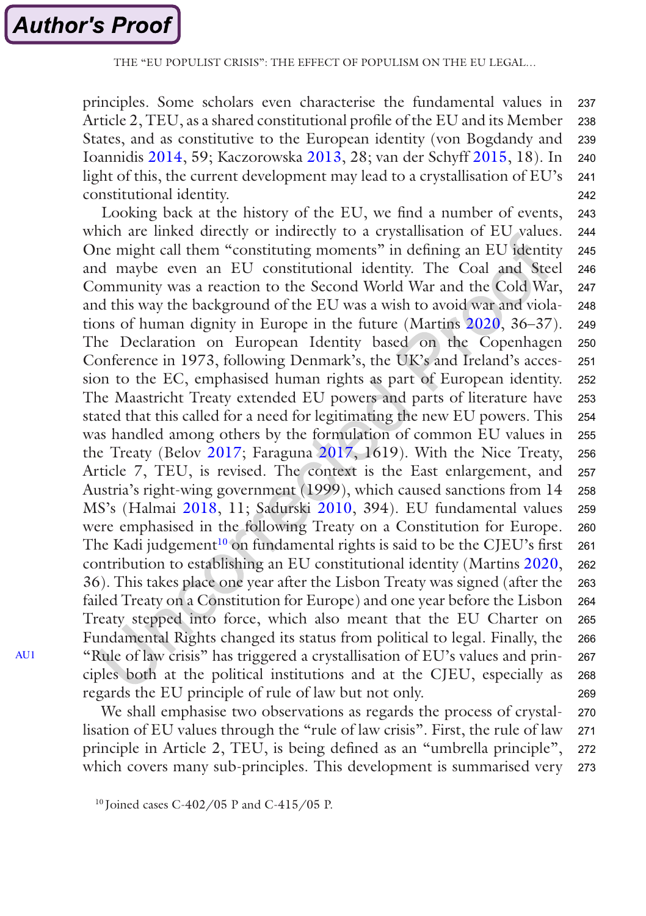<span id="page-9-0"></span>principles. Some scholars even characterise the fundamental values in Article 2, TEU, as a shared constitutional profile of the EU and its Member States, and as constitutive to the European identity (von Bogdandy and Ioannidis [2014,](#page-22-0) 59; Kaczorowska [2013,](#page-21-0) 28; van der Schyff [2015,](#page-22-0) 18). In light of this, the current development may lead to a crystallisation of EU's constitutional identity. 237 238 239 240 241 242

Looking back at the history of the EU, we find a number of events, which are linked directly or indirectly to a crystallisation of EU values. One might call them "constituting moments" in defining an EU identity and maybe even an EU constitutional identity. The Coal and Steel Community was a reaction to the Second World War and the Cold War, and this way the background of the EU was a wish to avoid war and violations of human dignity in Europe in the future (Martins [2020](#page-22-0), 36–37). The Declaration on European Identity based on the Copenhagen Conference in 1973, following Denmark's, the UK's and Ireland's accession to the EC, emphasised human rights as part of European identity. The Maastricht Treaty extended EU powers and parts of literature have stated that this called for a need for legitimating the new EU powers. This was handled among others by the formulation of common EU values in the Treaty (Belov [2017](#page-21-0); Faraguna [2017,](#page-21-0) 1619). With the Nice Treaty, Article 7, TEU, is revised. The context is the East enlargement, and Austria's right-wing government (1999), which caused sanctions from 14 MS's (Halmai [2018](#page-21-0), 11; Sadurski [2010,](#page-22-0) 394). EU fundamental values were emphasised in the following Treaty on a Constitution for Europe. The Kadi judgement<sup>10</sup> on fundamental rights is said to be the CJEU's first contribution to establishing an EU constitutional identity (Martins [2020,](#page-22-0) 36). This takes place one year after the Lisbon Treaty was signed (after the failed Treaty on a Constitution for Europe) and one year before the Lisbon Treaty stepped into force, which also meant that the EU Charter on Fundamental Rights changed its status from political to legal. Finally, the "Rule of law crisis" has triggered a crystallisation of EU's values and principles both at the political institutions and at the CJEU, especially as regards the EU principle of rule of law but not only. 243 244 245 246 247 248 249 250 251 252 253 254 255 256 257 258 259 260 261 262 263 264 265 266 267 268 269

We shall emphasise two observations as regards the process of crystallisation of EU values through the "rule of law crisis". First, the rule of law principle in Article 2, TEU, is being defined as an "umbrella principle", which covers many sub-principles. This development is summarised very 270 271 272 273

<sup>10</sup> Joined cases C-402/05 P and C-415/05 P.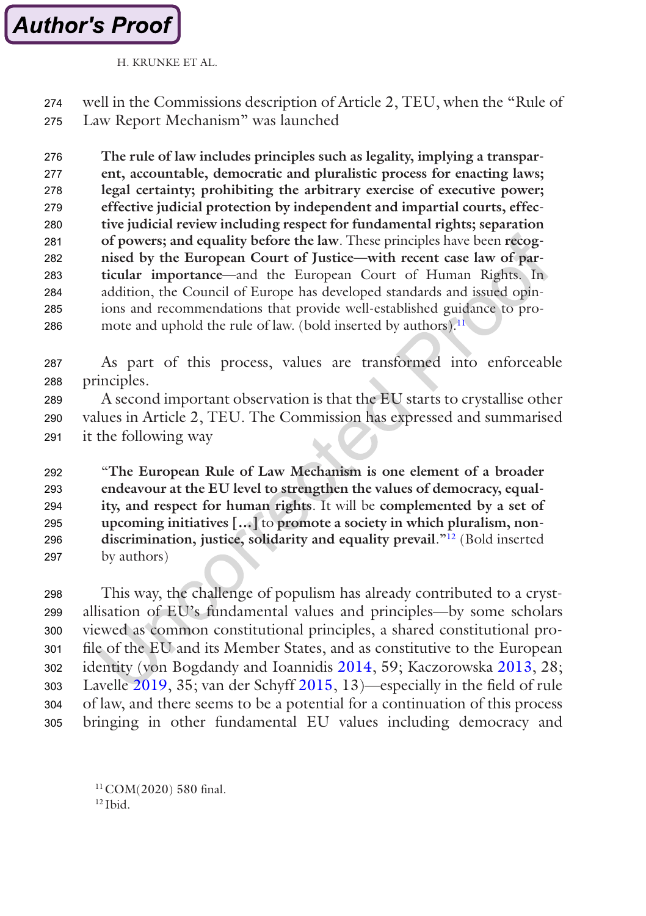

well in the Commissions description of Article 2, TEU, when the "Rule of Law Report Mechanism" was launched 274 275

**The rule of law includes principles such as legality, implying a transparent, accountable, democratic and pluralistic process for enacting laws; legal certainty; prohibiting the arbitrary exercise of executive power; effective judicial protection by independent and impartial courts, effective judicial review including respect for fundamental rights; separation of powers; and equality before the law**. These principles have been **recognised by the European Court of Justice—with recent case law of particular importance**—and the European Court of Human Rights. In addition, the Council of Europe has developed standards and issued opinions and recommendations that provide well-established guidance to promote and uphold the rule of law. (bold inserted by authors).<sup>11</sup>. 276 277 278 270 280 281 282 283 284 285 286

As part of this process, values are transformed into enforceable principles. 287 288

A second important observation is that the EU starts to crystallise other values in Article 2, TEU. The Commission has expressed and summarised it the following way 289 290 291

"**The European Rule of Law Mechanism is one element of a broader endeavour at the EU level to strengthen the values of democracy, equality, and respect for human rights**. It will be **complemented by a set of upcoming initiatives […]** to **promote a society in which pluralism, nondiscrimination, justice, solidarity and equality prevail**."12 (Bold inserted by authors) 292 293 294 295 296 297

This way, the challenge of populism has already contributed to a crystallisation of EU's fundamental values and principles—by some scholars viewed as common constitutional principles, a shared constitutional profile of the EU and its Member States, and as constitutive to the European identity (von Bogdandy and Ioannidis [2014,](#page-22-0) 59; Kaczorowska [2013,](#page-21-0) 28; Lavelle [2019,](#page-22-0) 35; van der Schyff [2015,](#page-22-0) 13)—especially in the field of rule of law, and there seems to be a potential for a continuation of this process bringing in other fundamental EU values including democracy and 298 299 300 301 302 303 304 305

<sup>11</sup> COM(2020) 580 final.  $12$  Ibid.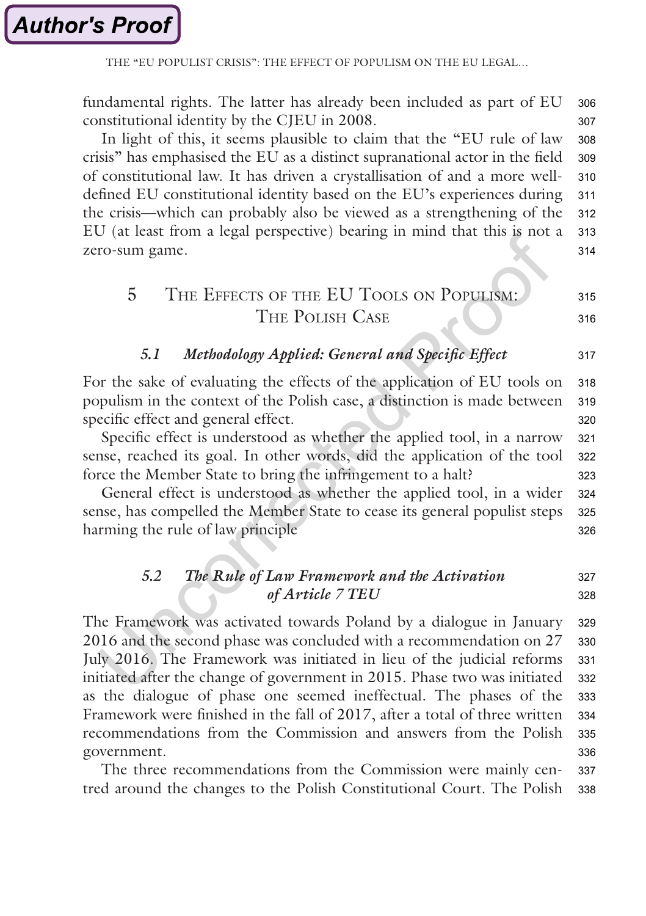<span id="page-11-0"></span>THE "EU POPULIST CRISIS"<sup>.</sup> THE EFFECT OF POPULISM ON THE EU LEGAL

fundamental rights. The latter has already been included as part of EU constitutional identity by the CJEU in 2008. 306 307

In light of this, it seems plausible to claim that the "EU rule of law crisis" has emphasised the EU as a distinct supranational actor in the field of constitutional law. It has driven a crystallisation of and a more welldefined EU constitutional identity based on the EU's experiences during the crisis—which can probably also be viewed as a strengthening of the EU (at least from a legal perspective) bearing in mind that this is not a zero-sum game. 308 309 310 311 312 313 314

#### 5 The Effects of the EU Tools on Populism: The Polish Case 315

#### *5.1 Methodology Applied: General and Specific Effect*

For the sake of evaluating the effects of the application of EU tools on populism in the context of the Polish case, a distinction is made between specific effect and general effect. 318 319 320

Specific effect is understood as whether the applied tool, in a narrow sense, reached its goal. In other words, did the application of the tool force the Member State to bring the infringement to a halt? 321 322 323

General effect is understood as whether the applied tool, in a wider sense, has compelled the Member State to cease its general populist steps harming the rule of law principle 324 325 326

#### *5.2 The Rule of Law Framework and the Activation of Article 7 TEU* 327 328

The Framework was activated towards Poland by a dialogue in January 2016 and the second phase was concluded with a recommendation on 27 July 2016. The Framework was initiated in lieu of the judicial reforms initiated after the change of government in 2015. Phase two was initiated as the dialogue of phase one seemed ineffectual. The phases of the Framework were finished in the fall of 2017, after a total of three written recommendations from the Commission and answers from the Polish government. 329 330 331 332 333 334 335 336

The three recommendations from the Commission were mainly centred around the changes to the Polish Constitutional Court. The Polish 337 338

316

317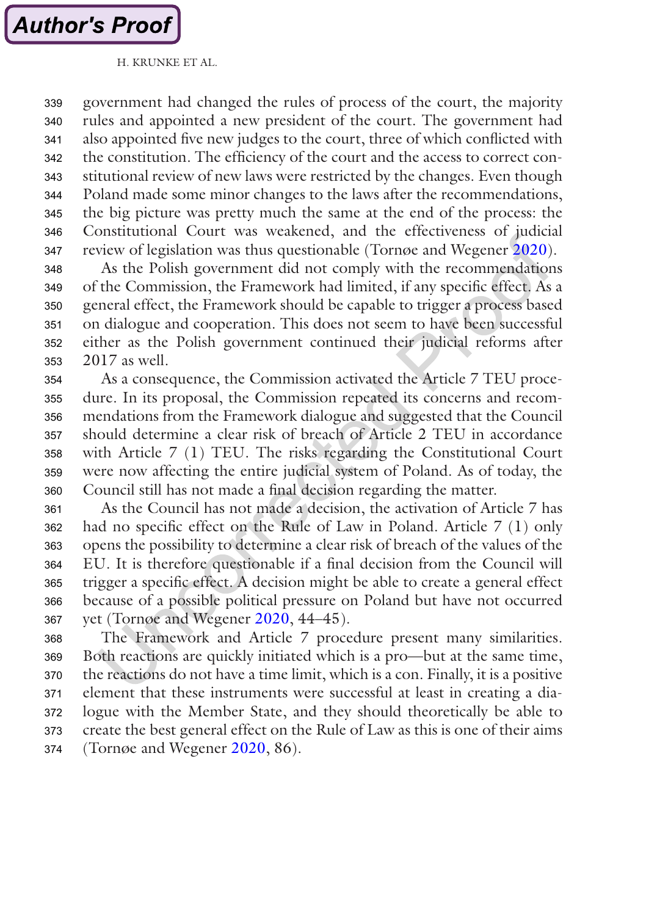government had changed the rules of process of the court, the majority rules and appointed a new president of the court. The government had also appointed five new judges to the court, three of which conflicted with the constitution. The efficiency of the court and the access to correct constitutional review of new laws were restricted by the changes. Even though Poland made some minor changes to the laws after the recommendations, the big picture was pretty much the same at the end of the process: the Constitutional Court was weakened, and the effectiveness of judicial review of legislation was thus questionable (Tornøe and Wegener [2020\)](#page-22-0). 339 340 341 342 343 344 345 346 347

As the Polish government did not comply with the recommendations of the Commission, the Framework had limited, if any specific effect. As a general effect, the Framework should be capable to trigger a process based on dialogue and cooperation. This does not seem to have been successful either as the Polish government continued their judicial reforms after 2017 as well. 348 349 350 351 352 353

As a consequence, the Commission activated the Article 7 TEU procedure. In its proposal, the Commission repeated its concerns and recommendations from the Framework dialogue and suggested that the Council should determine a clear risk of breach of Article 2 TEU in accordance with Article 7 (1) TEU. The risks regarding the Constitutional Court were now affecting the entire judicial system of Poland. As of today, the Council still has not made a final decision regarding the matter. 354 355 356 357 358 359 360

As the Council has not made a decision, the activation of Article 7 has had no specific effect on the Rule of Law in Poland. Article 7 (1) only opens the possibility to determine a clear risk of breach of the values of the EU. It is therefore questionable if a final decision from the Council will trigger a specific effect. A decision might be able to create a general effect because of a possible political pressure on Poland but have not occurred yet (Tornøe and Wegener [2020](#page-22-0), 44–45). 361 362 363 364 365 366 367

The Framework and Article 7 procedure present many similarities. Both reactions are quickly initiated which is a pro—but at the same time, the reactions do not have a time limit, which is a con. Finally, it is a positive element that these instruments were successful at least in creating a dialogue with the Member State, and they should theoretically be able to create the best general effect on the Rule of Law as this is one of their aims (Tornøe and Wegener [2020,](#page-22-0) 86). 368 369 370 371 372 373 374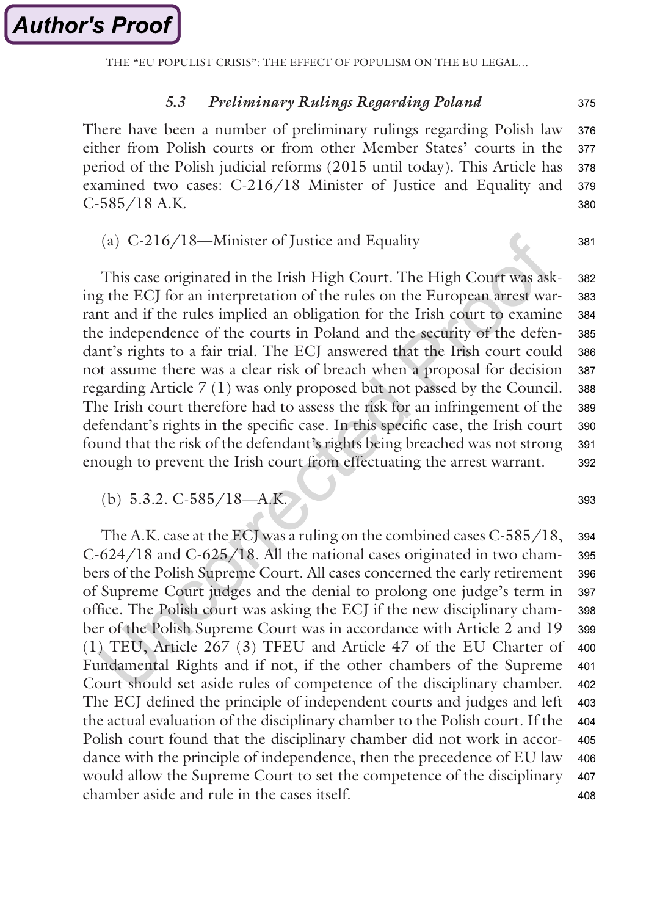THE "EU POPULIST CRISIS": THE EFFECT OF POPULISM ON THE EU LEGAL…

#### *5.3 Preliminary Rulings Regarding Poland*

There have been a number of preliminary rulings regarding Polish law either from Polish courts or from other Member States' courts in the period of the Polish judicial reforms (2015 until today). This Article has examined two cases: C-216/18 Minister of Justice and Equality and C-585/18 A.K. 376 377 378 379 380

#### (a) C-216/18—Minister of Justice and Equality

This case originated in the Irish High Court. The High Court was asking the ECJ for an interpretation of the rules on the European arrest warrant and if the rules implied an obligation for the Irish court to examine the independence of the courts in Poland and the security of the defendant's rights to a fair trial. The ECJ answered that the Irish court could not assume there was a clear risk of breach when a proposal for decision regarding Article 7 (1) was only proposed but not passed by the Council. The Irish court therefore had to assess the risk for an infringement of the defendant's rights in the specific case. In this specific case, the Irish court found that the risk of the defendant's rights being breached was not strong enough to prevent the Irish court from effectuating the arrest warrant. 382 383 384 385 386 387 388 389 390 391 392

(b) 5.3.2. C-585/18—A.K. 393

The A.K. case at the ECJ was a ruling on the combined cases C-585/18, C-624/18 and C-625/18. All the national cases originated in two chambers of the Polish Supreme Court. All cases concerned the early retirement of Supreme Court judges and the denial to prolong one judge's term in office. The Polish court was asking the ECJ if the new disciplinary chamber of the Polish Supreme Court was in accordance with Article 2 and 19 (1) TEU, Article 267 (3) TFEU and Article 47 of the EU Charter of Fundamental Rights and if not, if the other chambers of the Supreme Court should set aside rules of competence of the disciplinary chamber. The ECJ defined the principle of independent courts and judges and left the actual evaluation of the disciplinary chamber to the Polish court. If the Polish court found that the disciplinary chamber did not work in accordance with the principle of independence, then the precedence of EU law would allow the Supreme Court to set the competence of the disciplinary chamber aside and rule in the cases itself. 394 395 396 397 398 399 400 401 402 403 404 405 406 407 408

375

381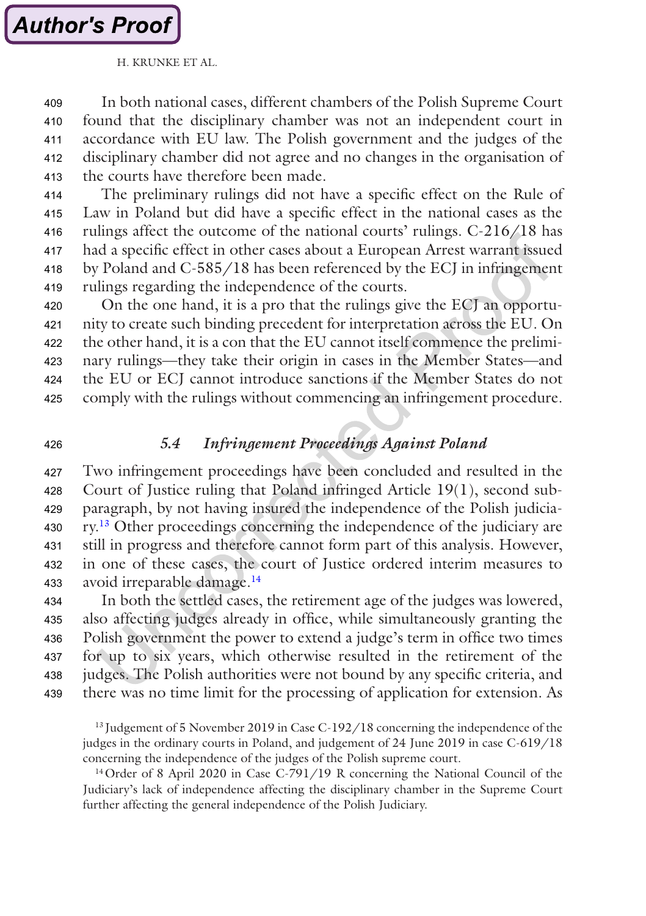# **Author's Proof**

#### H. KRUNKE ET AL.

In both national cases, different chambers of the Polish Supreme Court found that the disciplinary chamber was not an independent court in accordance with EU law. The Polish government and the judges of the disciplinary chamber did not agree and no changes in the organisation of the courts have therefore been made. 409 410 411 412 413

The preliminary rulings did not have a specific effect on the Rule of Law in Poland but did have a specific effect in the national cases as the rulings affect the outcome of the national courts' rulings. C-216/18 has had a specific effect in other cases about a European Arrest warrant issued by Poland and C-585/18 has been referenced by the ECJ in infringement rulings regarding the independence of the courts. 414 415 416 417 418 419

On the one hand, it is a pro that the rulings give the ECJ an opportunity to create such binding precedent for interpretation across the EU. On the other hand, it is a con that the EU cannot itself commence the preliminary rulings—they take their origin in cases in the Member States—and the EU or ECJ cannot introduce sanctions if the Member States do not comply with the rulings without commencing an infringement procedure. 420 421 422 423 424 425

426

### *5.4 Infringement Proceedings Against Poland*

Two infringement proceedings have been concluded and resulted in the Court of Justice ruling that Poland infringed Article 19(1), second subparagraph, by not having insured the independence of the Polish judiciary.13 Other proceedings concerning the independence of the judiciary are still in progress and therefore cannot form part of this analysis. However, in one of these cases, the court of Justice ordered interim measures to avoid irreparable damage.14 427 428 429 430 431 432 433

In both the settled cases, the retirement age of the judges was lowered, also affecting judges already in office, while simultaneously granting the Polish government the power to extend a judge's term in office two times for up to six years, which otherwise resulted in the retirement of the judges. The Polish authorities were not bound by any specific criteria, and there was no time limit for the processing of application for extension. As 434 435 436 437 438 439

<sup>13</sup> Judgement of 5 November 2019 in Case C-192/18 concerning the independence of the judges in the ordinary courts in Poland, and judgement of 24 June 2019 in case C-619/18 concerning the independence of the judges of the Polish supreme court.

<sup>14</sup> Order of 8 April 2020 in Case C-791/19 R concerning the National Council of the Judiciary's lack of independence affecting the disciplinary chamber in the Supreme Court further affecting the general independence of the Polish Judiciary.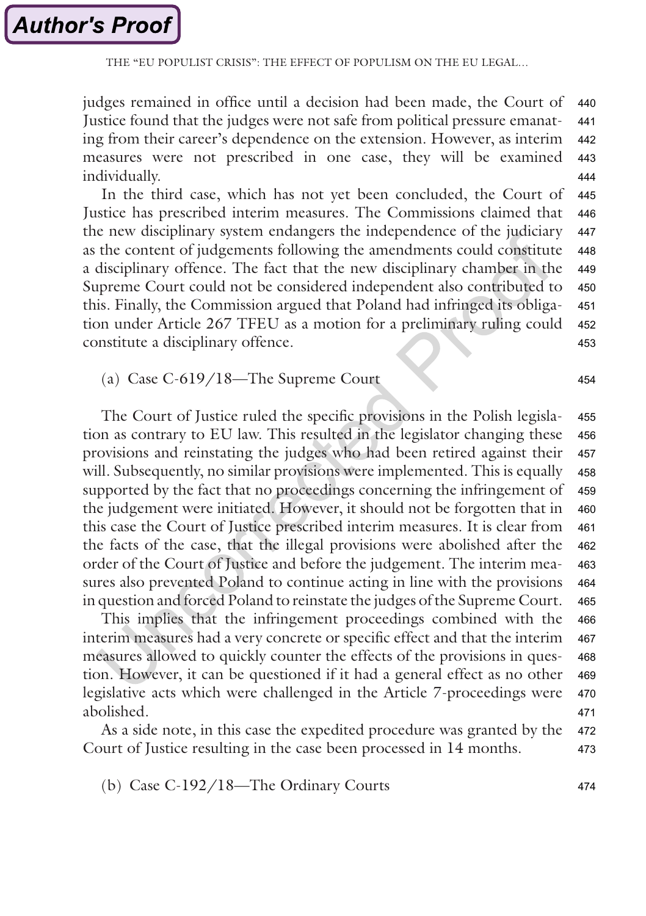judges remained in office until a decision had been made, the Court of Justice found that the judges were not safe from political pressure emanating from their career's dependence on the extension. However, as interim measures were not prescribed in one case, they will be examined individually. 440 441 442 443 444

In the third case, which has not yet been concluded, the Court of Justice has prescribed interim measures. The Commissions claimed that the new disciplinary system endangers the independence of the judiciary as the content of judgements following the amendments could constitute a disciplinary offence. The fact that the new disciplinary chamber in the Supreme Court could not be considered independent also contributed to this. Finally, the Commission argued that Poland had infringed its obligation under Article 267 TFEU as a motion for a preliminary ruling could constitute a disciplinary offence. 445 446 447 448 449 450 451 452 453

(a) Case C-619/18—The Supreme Court

The Court of Justice ruled the specific provisions in the Polish legislation as contrary to EU law. This resulted in the legislator changing these provisions and reinstating the judges who had been retired against their will. Subsequently, no similar provisions were implemented. This is equally supported by the fact that no proceedings concerning the infringement of the judgement were initiated. However, it should not be forgotten that in this case the Court of Justice prescribed interim measures. It is clear from the facts of the case, that the illegal provisions were abolished after the order of the Court of Justice and before the judgement. The interim measures also prevented Poland to continue acting in line with the provisions in question and forced Poland to reinstate the judges of the Supreme Court. 455 456 457 458 459 460 461 462 463 464 465

This implies that the infringement proceedings combined with the interim measures had a very concrete or specific effect and that the interim measures allowed to quickly counter the effects of the provisions in question. However, it can be questioned if it had a general effect as no other legislative acts which were challenged in the Article 7-proceedings were abolished. 466 467 468 469 470 471

As a side note, in this case the expedited procedure was granted by the Court of Justice resulting in the case been processed in 14 months. 472 473

(b) Case C-192/18—The Ordinary Courts

454

474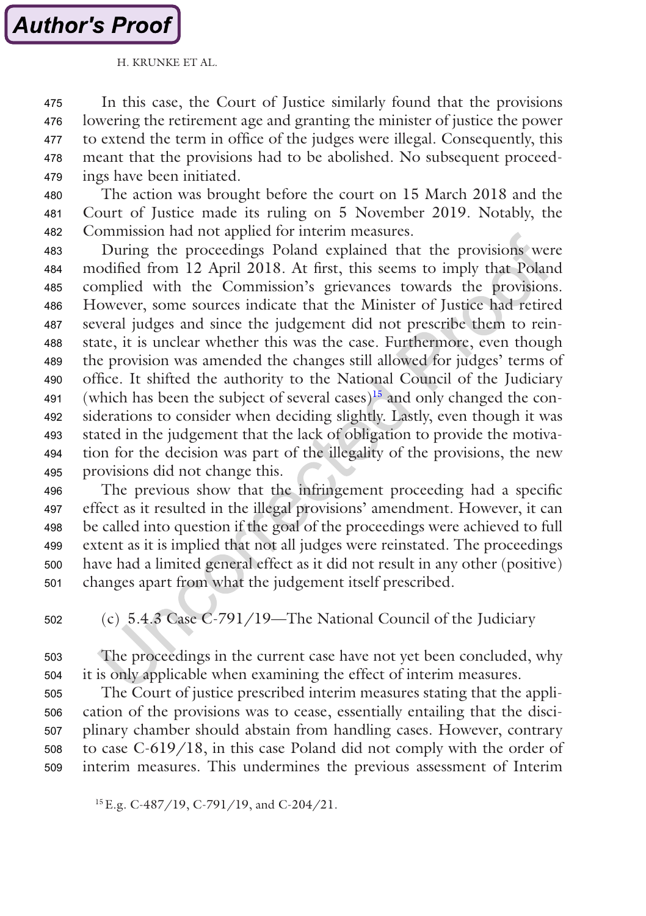# **Author's Proof**

#### H. KRUNKE ET AL.

In this case, the Court of Justice similarly found that the provisions lowering the retirement age and granting the minister of justice the power to extend the term in office of the judges were illegal. Consequently, this meant that the provisions had to be abolished. No subsequent proceedings have been initiated. 475 476 477 478 479

The action was brought before the court on 15 March 2018 and the Court of Justice made its ruling on 5 November 2019. Notably, the Commission had not applied for interim measures. 480 481 482

During the proceedings Poland explained that the provisions were modified from 12 April 2018. At first, this seems to imply that Poland complied with the Commission's grievances towards the provisions. However, some sources indicate that the Minister of Justice had retired several judges and since the judgement did not prescribe them to reinstate, it is unclear whether this was the case. Furthermore, even though the provision was amended the changes still allowed for judges' terms of office. It shifted the authority to the National Council of the Judiciary (which has been the subject of several cases)<sup>15</sup> and only changed the considerations to consider when deciding slightly. Lastly, even though it was stated in the judgement that the lack of obligation to provide the motivation for the decision was part of the illegality of the provisions, the new provisions did not change this. 483 484 485 486 487 488 489 490 491 492 493 494 495

The previous show that the infringement proceeding had a specific effect as it resulted in the illegal provisions' amendment. However, it can be called into question if the goal of the proceedings were achieved to full extent as it is implied that not all judges were reinstated. The proceedings have had a limited general effect as it did not result in any other (positive) changes apart from what the judgement itself prescribed. 496 497 498 499 500 501

(c) 5.4.3 Case C-791/19—The National Council of the Judiciary 502

The proceedings in the current case have not yet been concluded, why it is only applicable when examining the effect of interim measures. 503 504

The Court of justice prescribed interim measures stating that the application of the provisions was to cease, essentially entailing that the disciplinary chamber should abstain from handling cases. However, contrary to case C-619/18, in this case Poland did not comply with the order of interim measures. This undermines the previous assessment of Interim 505 506 507 508 509

15E.g. C-487/19, C-791/19, and C-204/21.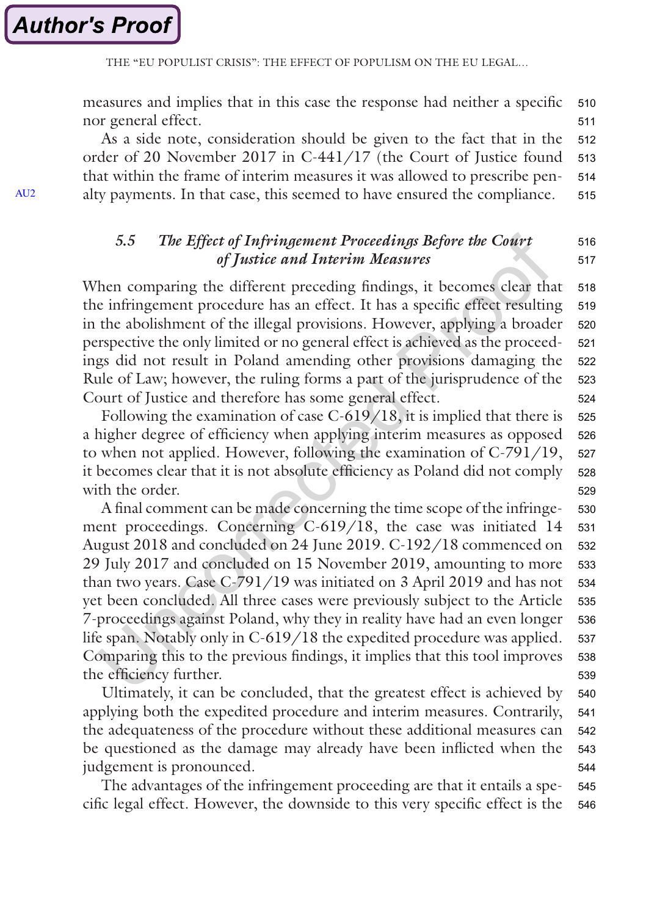<span id="page-17-0"></span>measures and implies that in this case the response had neither a specific nor general effect. 510 511

As a side note, consideration should be given to the fact that in the order of 20 November 2017 in C-441/17 (the Court of Justice found that within the frame of interim measures it was allowed to prescribe penalty payments. In that case, this seemed to have ensured the compliance. 512 513 514 515

#### *5.5 The Effect of Infringement Proceedings Before the Court of Justice and Interim Measures* 516 517

When comparing the different preceding findings, it becomes clear that the infringement procedure has an effect. It has a specific effect resulting in the abolishment of the illegal provisions. However, applying a broader perspective the only limited or no general effect is achieved as the proceedings did not result in Poland amending other provisions damaging the Rule of Law; however, the ruling forms a part of the jurisprudence of the Court of Justice and therefore has some general effect. 518 519 520 521 522 523 524

Following the examination of case C-619/18, it is implied that there is a higher degree of efficiency when applying interim measures as opposed to when not applied. However, following the examination of C-791/19, it becomes clear that it is not absolute efficiency as Poland did not comply with the order. 525 526 527 528 529

A final comment can be made concerning the time scope of the infringement proceedings. Concerning C-619/18, the case was initiated 14 August 2018 and concluded on 24 June 2019. C-192/18 commenced on 29 July 2017 and concluded on 15 November 2019, amounting to more than two years. Case C-791/19 was initiated on 3 April 2019 and has not yet been concluded. All three cases were previously subject to the Article 7-proceedings against Poland, why they in reality have had an even longer life span. Notably only in C-619/18 the expedited procedure was applied. Comparing this to the previous findings, it implies that this tool improves the efficiency further. 530 531 532 533 534 535 536 537 538 539

Ultimately, it can be concluded, that the greatest effect is achieved by applying both the expedited procedure and interim measures. Contrarily, the adequateness of the procedure without these additional measures can be questioned as the damage may already have been inflicted when the judgement is pronounced. 540 541 542 543 544

The advantages of the infringement proceeding are that it entails a specific legal effect. However, the downside to this very specific effect is the 545 546

AU<sub>2</sub>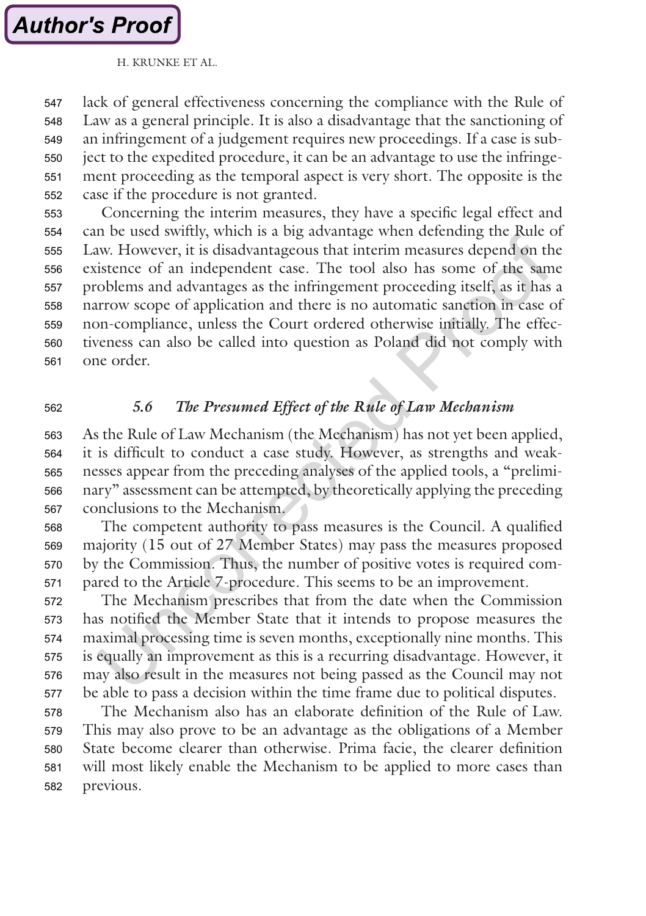lack of general effectiveness concerning the compliance with the Rule of Law as a general principle. It is also a disadvantage that the sanctioning of an infringement of a judgement requires new proceedings. If a case is subject to the expedited procedure, it can be an advantage to use the infringement proceeding as the temporal aspect is very short. The opposite is the case if the procedure is not granted. 547 548 549 550 551 552

Concerning the interim measures, they have a specific legal effect and can be used swiftly, which is a big advantage when defending the Rule of Law. However, it is disadvantageous that interim measures depend on the existence of an independent case. The tool also has some of the same problems and advantages as the infringement proceeding itself, as it has a narrow scope of application and there is no automatic sanction in case of non-compliance, unless the Court ordered otherwise initially. The effectiveness can also be called into question as Poland did not comply with one order. 553 554 555 556 557 558 559 560 561

562

#### *5.6 The Presumed Effect of the Rule of Law Mechanism*

As the Rule of Law Mechanism (the Mechanism) has not yet been applied, it is difficult to conduct a case study. However, as strengths and weaknesses appear from the preceding analyses of the applied tools, a "preliminary" assessment can be attempted, by theoretically applying the preceding conclusions to the Mechanism. 563 564 565 566 567

The competent authority to pass measures is the Council. A qualified majority (15 out of 27 Member States) may pass the measures proposed by the Commission. Thus, the number of positive votes is required compared to the Article 7-procedure. This seems to be an improvement. 568 569 570 571

The Mechanism prescribes that from the date when the Commission has notified the Member State that it intends to propose measures the maximal processing time is seven months, exceptionally nine months. This is equally an improvement as this is a recurring disadvantage. However, it may also result in the measures not being passed as the Council may not be able to pass a decision within the time frame due to political disputes. 572 573 574 575 576 577

The Mechanism also has an elaborate definition of the Rule of Law. This may also prove to be an advantage as the obligations of a Member State become clearer than otherwise. Prima facie, the clearer definition will most likely enable the Mechanism to be applied to more cases than previous. 578 579 580 581 582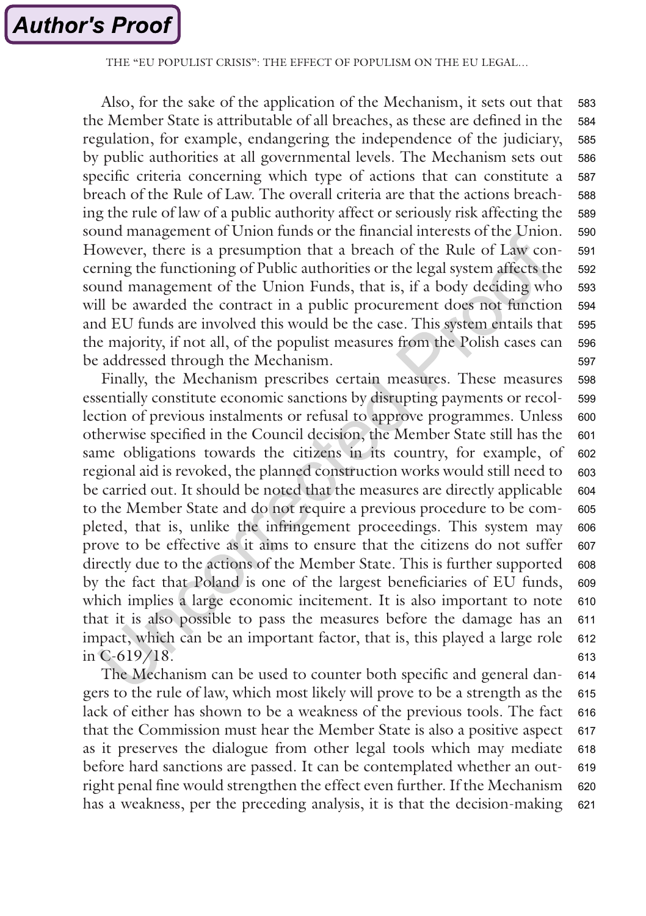THE "EU POPULIST CRISIS"<sup>.</sup> THE EFFECT OF POPULISM ON THE EU LEGAL

Also, for the sake of the application of the Mechanism, it sets out that the Member State is attributable of all breaches, as these are defined in the regulation, for example, endangering the independence of the judiciary, by public authorities at all governmental levels. The Mechanism sets out specific criteria concerning which type of actions that can constitute a breach of the Rule of Law. The overall criteria are that the actions breaching the rule of law of a public authority affect or seriously risk affecting the sound management of Union funds or the financial interests of the Union. However, there is a presumption that a breach of the Rule of Law concerning the functioning of Public authorities or the legal system affects the sound management of the Union Funds, that is, if a body deciding who will be awarded the contract in a public procurement does not function and EU funds are involved this would be the case. This system entails that the majority, if not all, of the populist measures from the Polish cases can be addressed through the Mechanism. 583 584 585 586 587 588 589 590 591 592 593 594 595 596 597

Finally, the Mechanism prescribes certain measures. These measures essentially constitute economic sanctions by disrupting payments or recollection of previous instalments or refusal to approve programmes. Unless otherwise specified in the Council decision, the Member State still has the same obligations towards the citizens in its country, for example, of regional aid is revoked, the planned construction works would still need to be carried out. It should be noted that the measures are directly applicable to the Member State and do not require a previous procedure to be completed, that is, unlike the infringement proceedings. This system may prove to be effective as it aims to ensure that the citizens do not suffer directly due to the actions of the Member State. This is further supported by the fact that Poland is one of the largest beneficiaries of EU funds, which implies a large economic incitement. It is also important to note that it is also possible to pass the measures before the damage has an impact, which can be an important factor, that is, this played a large role in C-619/18. 598 599 600 601 602 603 604 605 606 607 608 609 610 611 612 613

The Mechanism can be used to counter both specific and general dangers to the rule of law, which most likely will prove to be a strength as the lack of either has shown to be a weakness of the previous tools. The fact that the Commission must hear the Member State is also a positive aspect as it preserves the dialogue from other legal tools which may mediate before hard sanctions are passed. It can be contemplated whether an outright penal fine would strengthen the effect even further. If the Mechanism has a weakness, per the preceding analysis, it is that the decision-making 614 615 616 617 618 619 620 621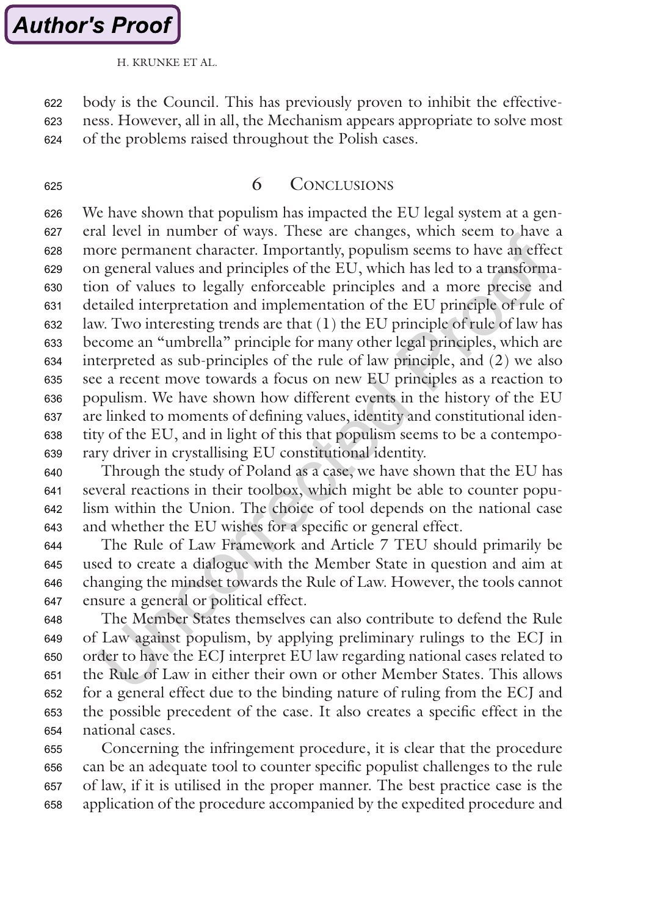625

H. KRUNKE ET AL.

<span id="page-20-0"></span>body is the Council. This has previously proven to inhibit the effectiveness. However, all in all, the Mechanism appears appropriate to solve most of the problems raised throughout the Polish cases. 622 623 624

#### 6 Conclusions

We have shown that populism has impacted the EU legal system at a general level in number of ways. These are changes, which seem to have a more permanent character. Importantly, populism seems to have an effect on general values and principles of the EU, which has led to a transformation of values to legally enforceable principles and a more precise and detailed interpretation and implementation of the EU principle of rule of law. Two interesting trends are that (1) the EU principle of rule of law has become an "umbrella" principle for many other legal principles, which are interpreted as sub-principles of the rule of law principle, and (2) we also see a recent move towards a focus on new EU principles as a reaction to populism. We have shown how different events in the history of the EU are linked to moments of defining values, identity and constitutional identity of the EU, and in light of this that populism seems to be a contemporary driver in crystallising EU constitutional identity. 626 627 628 629 630 631 632 633 634 635 636 637 638 639

Through the study of Poland as a case, we have shown that the EU has several reactions in their toolbox, which might be able to counter populism within the Union. The choice of tool depends on the national case and whether the EU wishes for a specific or general effect. 640 641 642 643

The Rule of Law Framework and Article 7 TEU should primarily be used to create a dialogue with the Member State in question and aim at changing the mindset towards the Rule of Law. However, the tools cannot ensure a general or political effect. 644 645 646 647

The Member States themselves can also contribute to defend the Rule of Law against populism, by applying preliminary rulings to the ECJ in order to have the ECJ interpret EU law regarding national cases related to the Rule of Law in either their own or other Member States. This allows for a general effect due to the binding nature of ruling from the ECJ and the possible precedent of the case. It also creates a specific effect in the national cases. 648 649 650 651 652 653 654

Concerning the infringement procedure, it is clear that the procedure can be an adequate tool to counter specific populist challenges to the rule of law, if it is utilised in the proper manner. The best practice case is the application of the procedure accompanied by the expedited procedure and 655 656 657 658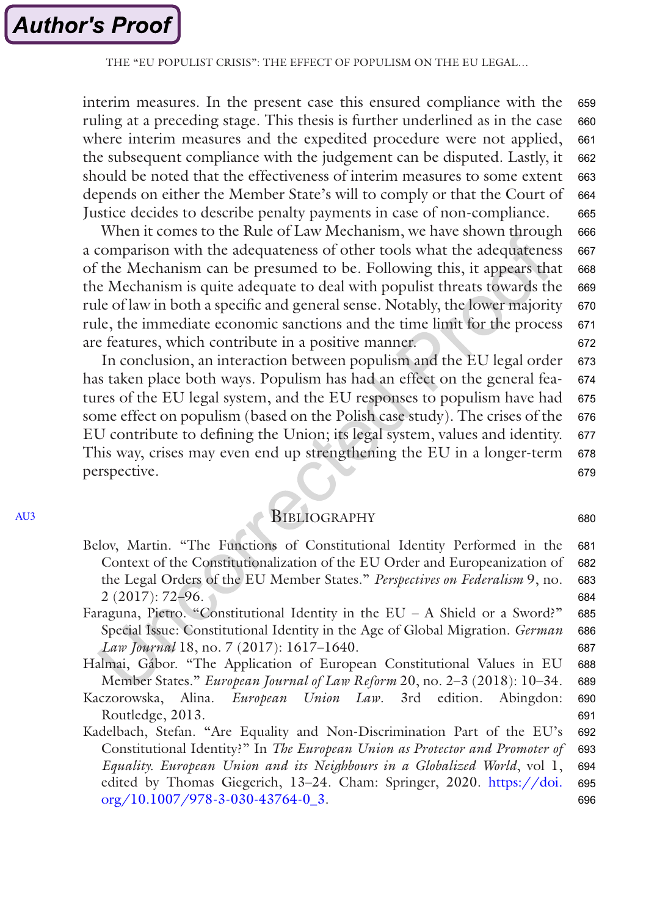<span id="page-21-0"></span>interim measures. In the present case this ensured compliance with the ruling at a preceding stage. This thesis is further underlined as in the case where interim measures and the expedited procedure were not applied, the subsequent compliance with the judgement can be disputed. Lastly, it should be noted that the effectiveness of interim measures to some extent depends on either the Member State's will to comply or that the Court of Justice decides to describe penalty payments in case of non-compliance. 659 660 661 662 663 664 665

When it comes to the Rule of Law Mechanism, we have shown through a comparison with the adequateness of other tools what the adequateness of the Mechanism can be presumed to be. Following this, it appears that the Mechanism is quite adequate to deal with populist threats towards the rule of law in both a specific and general sense. Notably, the lower majority rule, the immediate economic sanctions and the time limit for the process are features, which contribute in a positive manner. 666 667 668 669 670 671 672

In conclusion, an interaction between populism and the EU legal order has taken place both ways. Populism has had an effect on the general features of the EU legal system, and the EU responses to populism have had some effect on populism (based on the Polish case study). The crises of the EU contribute to defining the Union; its legal system, values and identity. This way, crises may even end up strengthening the EU in a longer-term perspective. 673 674 675 676 677 678 679

### **BIBLIOGRAPHY**

- Belov, Martin. "The Functions of Constitutional Identity Performed in the Context of the Constitutionalization of the EU Order and Europeanization of the Legal Orders of the EU Member States." *Perspectives on Federalism* 9, no. 2 (2017): 72–96. 681 682 683 684
- Faraguna, Pietro. "Constitutional Identity in the EU A Shield or a Sword?" Special Issue: Constitutional Identity in the Age of Global Migration. *German Law Journal* 18, no. 7 (2017): 1617–1640. 685 686 687
- Halmai, Gábor. "The Application of European Constitutional Values in EU Member States." *European Journal of Law Reform* 20, no. 2–3 (2018): 10–34. 688 689
- Kaczorowska, Alina. *European Union Law*. 3rd edition. Abingdon: Routledge, 2013. 690 691
- Kadelbach, Stefan. "Are Equality and Non-Discrimination Part of the EU's Constitutional Identity?" In *The European Union as Protector and Promoter of Equality. European Union and its Neighbours in a Globalized World*, vol 1, edited by Thomas Giegerich, 13–24. Cham: Springer, 2020. [https://doi.](https://doi.org/10.1007/978-3-030-43764-0_3) [org/10.1007/978-3-030-43764-0\\_3](https://doi.org/10.1007/978-3-030-43764-0_3). 692 693 694 695 696

[AU3](#page-23-0)

680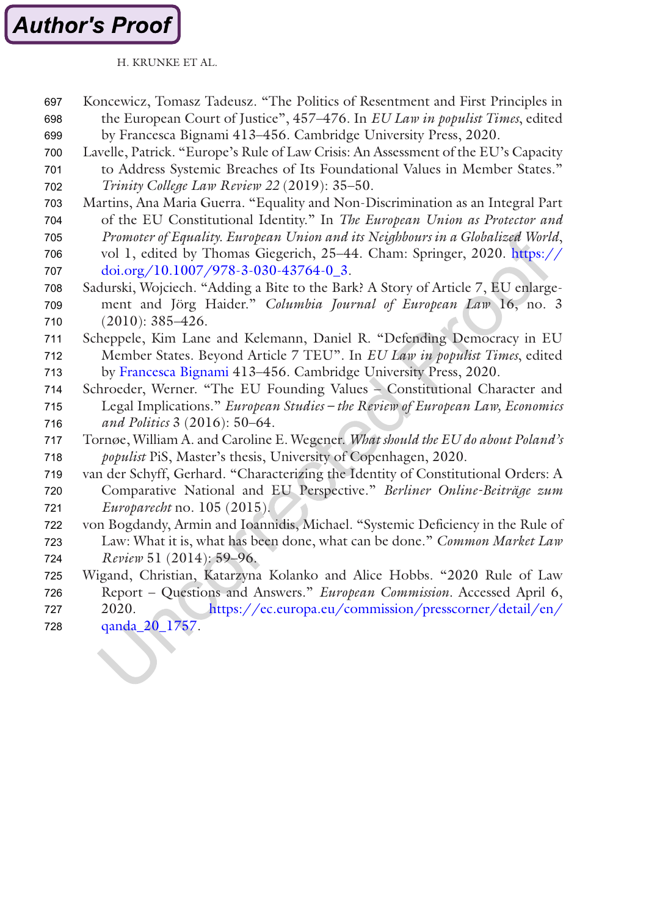# <span id="page-22-0"></span>**Author's Proof**

H. KRUNKE ET AL.

- Koncewicz, Tomasz Tadeusz. "The Politics of Resentment and First Principles in the European Court of Justice", 457–476. In *EU Law in populist Times*, edited by Francesca Bignami 413–456. Cambridge University Press, 2020. 697 698 699
- Lavelle, Patrick. "Europe's Rule of Law Crisis: An Assessment of the EU's Capacity to Address Systemic Breaches of Its Foundational Values in Member States." 700 701
- *Trinity College Law Review 22* (2019): 35–50. 702
- Martins, Ana Maria Guerra. "Equality and Non-Discrimination as an Integral Part of the EU Constitutional Identity." In *The European Union as Protector and*  703 704
- *Promoter of Equality. European Union and its Neighbours in a Globalized World*, vol 1, edited by Thomas Giegerich, 25–44. Cham: Springer, 2020. [https://](https://doi.org/10.1007/978-3-030-43764-0_3) 705 706
- [doi.org/10.1007/978-3-030-43764-0\\_3](https://doi.org/10.1007/978-3-030-43764-0_3). 707
- Sadurski, Wojciech. "Adding a Bite to the Bark? A Story of Article 7, EU enlargement and Jörg Haider." *Columbia Journal of European Law* 16, no. 3 (2010): 385–426. 708 709 710
- Scheppele, Kim Lane and Kelemann, Daniel R. "Defending Democracy in EU Member States. Beyond Article 7 TEU". In *EU Law in populist Times*, edited by [Francesca Bignami](https://www-cambridge-org.ep.fjernadgang.kb.dk/core/search?filters%255BauthorTerms%255D=Francesca%2520Bignami&eventCode=SE-AU) 413–456. Cambridge University Press, 2020. 711 712 713
- Schroeder, Werner. "The EU Founding Values Constitutional Character and Legal Implications." *European Studies – the Review of European Law, Economics and Politics* 3 (2016): 50–64. 714 715 716
- Tornøe, William A. and Caroline E. Wegener. *What should the EU do about Poland's populist* PiS, Master's thesis, University of Copenhagen, 2020. 717 718
- van der Schyff, Gerhard. "Characterizing the Identity of Constitutional Orders: A 719
- Comparative National and EU Perspective." *Berliner Online-Beiträge zum Europarecht* no. 105 (2015). 720 721
- von Bogdandy, Armin and Ioannidis, Michael. "Systemic Deficiency in the Rule of Law: What it is, what has been done, what can be done." *Common Market Law Review* 51 (2014): 59–96. 722 723 724
- Wigand, Christian, Katarzyna Kolanko and Alice Hobbs. "2020 Rule of Law Report – Questions and Answers." *European Commission.* Accessed April 6, 725 726
- 2020*.* [https://ec.europa.eu/commission/presscorner/detail/en/](https://ec.europa.eu/commission/presscorner/detail/en/qanda_20_1757) [qanda\\_20\\_1757](https://ec.europa.eu/commission/presscorner/detail/en/qanda_20_1757). 727 728